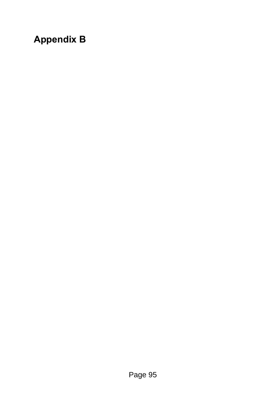# **Appendix B**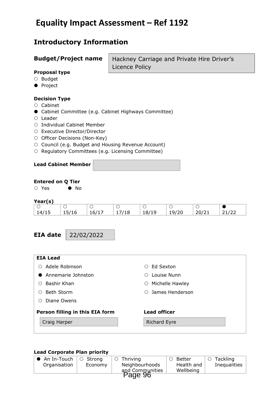## **Equality Impact Assessment – Ref 1192**

## **Introductory Information**

### **Budget/Project name**

Hackney Carriage and Private Hire Driver's Licence Policy

### **Proposal type**

- $O$  Budget
- **•** Project

### **Decision Type**

- $\circ$  Cabinet
- Cabinet Committee (e.g. Cabinet Highways Committee)
- Leader
- O Individual Cabinet Member
- O Executive Director/Director
- O Officer Decisions (Non-Key)
- O Council (e.g. Budget and Housing Revenue Account)
- O Regulatory Committees (e.g. Licensing Committee)

### **Lead Cabinet Member**

### **Entered on Q Tier**

○ Yes ● No

### **Year(s)**

| , Ca, 197 |       |       |   |       |       |     |               |
|-----------|-------|-------|---|-------|-------|-----|---------------|
|           |       |       |   |       |       |     |               |
| 14/15     | 12/10 | 16/1/ | ∸ | 18/19 | 19/20 | 201 | - 4 1 1 4 4 4 |

**EIA date**

22/02/2022

| <b>EIA Lead</b>                 |                            |
|---------------------------------|----------------------------|
| Adele Robinson<br>( )           | Ed Sexton<br>∩             |
| Annemarie Johnston              | Louise Nunn<br>∩           |
| Bashir Khan                     | Michelle Hawley<br>$\circ$ |
| <b>Beth Storm</b><br>( )        | $\circ$ James Henderson    |
| Diane Owens                     |                            |
| Person filling in this EIA form | <b>Lead officer</b>        |
| Craig Harper                    | <b>Richard Eyre</b>        |
|                                 |                            |

### **Lead Corporate Plan priority**

| $\bullet\,$ An In-Touch $\,$ | O Strong | Thriving        | Better     | Tackling<br>$\circ$ |
|------------------------------|----------|-----------------|------------|---------------------|
| Organisation                 | Economy  | Neighbourhoods  | Health and | Inequalities        |
|                              |          | and Communities | Wellbeing  |                     |
|                              |          |                 |            |                     |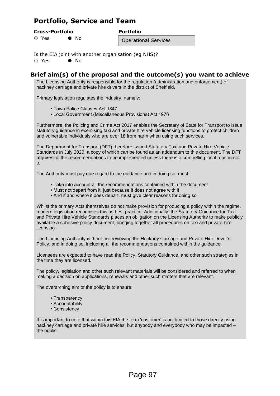## **Portfolio, Service and Team**

#### **Cross-Portfolio Portfolio**

 $\bigcirc$  Yes  $\bigcirc$  No

Is the EIA joint with another organisation (eg NHS)?

 $\bigcap$  Yes  $\bigcap$  No

### **Brief aim(s) of the proposal and the outcome(s) you want to achieve**

Operational Services

The Licensing Authority is responsible for the regulation (administration and enforcement) of hackney carriage and private hire drivers in the district of Sheffield.

Primary legislation regulates the industry, namely:

• Town Police Clauses Act 1847

• Local Government (Miscellaneous Provisions) Act 1976

Furthermore, the Policing and Crime Act 2017 enables the Secretary of State for Transport to issue statutory guidance in exercising taxi and private hire vehicle licensing functions to protect children and vulnerable individuals who are over 18 from harm when using such services.

The Department for Transport (DFT) therefore issued Statutory Taxi and Private Hire Vehicle Standards in July 2020, a copy of which can be found as an addendum to this document. The DFT requires all the recommendations to be implemented unless there is a compelling local reason not to.

The Authority must pay due regard to the guidance and in doing so, must:

- Take into account all the recommendations contained within the document
- Must not depart from it, just because it does not agree with it
- And if and where it does depart, must give clear reasons for doing so

Whilst the primary Acts themselves do not make provision for producing a policy within the regime, modern legislation recognises this as best practice, Additionally, the Statutory Guidance for Taxi and Private Hire Vehicle Standards places an obligation on the Licensing Authority to make publicly available a cohesive policy document, bringing together all procedures on taxi and private hire licensing.

The Licensing Authority is therefore reviewing the Hackney Carriage and Private Hire Driver's Policy, and in doing so, including all the recommendations contained within the guidance.

Licensees are expected to have read the Policy, Statutory Guidance, and other such strategies in the time they are licensed.

The policy, legislation and other such relevant materials will be considered and referred to when making a decision on applications, renewals and other such matters that are relevant.

The overarching aim of the policy is to ensure:

- Transparency
- Accountability
- Consistency

It is important to note that within this EIA the term 'customer' is not limited to those directly using hackney carriage and private hire services, but anybody and everybody who may be impacted – the public.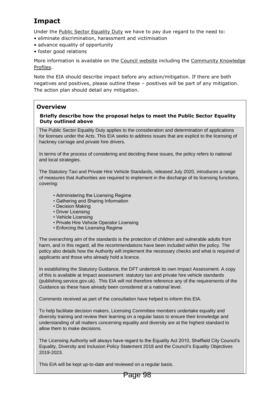## **Impact**

Under the [Public Sector Equality Duty](http://www.homeoffice.gov.uk/equalities/equality-act/equality-duty) we have to pay due regard to the need to:

- eliminate discrimination, harassment and victimisation
- advance equality of opportunity
- foster good relations

More information is available on the [Council website](https://www.sheffield.gov.uk/content/sheffield/home/your-city-council/statutory-equality-duties.html) including the [Community Knowledge](https://www.sheffield.gov.uk/home/your-city-council/sheffield-profile)  [Profiles.](https://www.sheffield.gov.uk/home/your-city-council/sheffield-profile)

Note the EIA should describe impact before any action/mitigation. If there are both negatives and positives, please outline these – positives will be part of any mitigation. The action plan should detail any mitigation.

### **Overview**

### **Briefly describe how the proposal helps to meet the Public Sector Equality Duty outlined above**

The Public Sector Equality Duty applies to the consideration and determination of applications for licenses under the Acts. This EIA seeks to address issues that are explicit to the licensing of hackney carriage and private hire drivers.

In terms of the process of considering and deciding these issues, the policy refers to national and local strategies.

The Statutory Taxi and Private Hire Vehicle Standards, released July 2020, introduces a range of measures that Authorities are required to implement in the discharge of its licensing functions, covering:

- Administering the Licensing Regime
- Gathering and Sharing Information
- Decision Making
- Driver Licensing
- Vehicle Licensing
- Private Hire Vehicle Operator Licensing
- Enforcing the Licensing Regime

The overarching aim of the standards is the protection of children and vulnerable adults from harm, and in this regard, all the recommendations have been included within the policy. The policy also details how the Authority will implement the necessary checks and what is required of applicants and those who already hold a licence.

In establishing the Statutory Guidance, the DFT undertook its own Impact Assessment. A copy of this is available at Impact assessment: statutory taxi and private hire vehicle standards (publishing.service.gov.uk). This EIA will not therefore reference any of the requirements of the Guidance as these have already been considered at a national level.

Comments received as part of the consultation have helped to inform this EIA.

To help facilitate decision makers, Licensing Committee members undertake equality and diversity training and review their learning on a regular basis to ensure their knowledge and understanding of all matters concerning equality and diversity are at the highest standard to allow them to make decisions.

The Licensing Authority will always have regard to the Equality Act 2010, Sheffield City Council's Equality, Diversity and Inclusion Policy Statement 2018 and the Council's Equality Objectives 2019-2023.

This EIA will be kept up-to-date and reviewed on a regular basis.

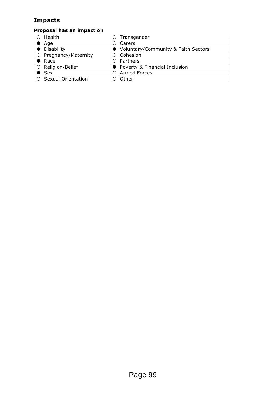## **Impacts**

## **Proposal has an impact on**

| Health                      | $\circ$ Transgender                   |
|-----------------------------|---------------------------------------|
| $\bullet$ Age               | Carers                                |
| • Disability                | • Voluntary/Community & Faith Sectors |
| $\circ$ Pregnancy/Maternity | ○ Cohesion                            |
| $\bullet$ Race              | Partners                              |
| ○ Religion/Belief           | • Poverty & Financial Inclusion       |
| $\bullet$ Sex               | <b>Armed Forces</b>                   |
| ○ Sexual Orientation        | Other                                 |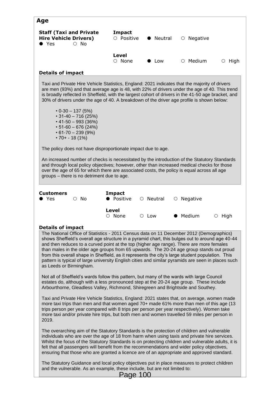| <b>Impact</b><br><b>Staff (Taxi and Private</b><br><b>Hire Vehicle Drivers)</b><br>$\circ$ Positive<br>Neutral<br>$\circ$ Negative<br>$\circ$ No<br>$\bullet$ Yes<br><b>Level</b><br>$\circ$ None<br>$\circ$ Medium<br>Low<br>$\circ$ High<br><b>Details of impact</b><br>Taxi and Private Hire Vehicle Statistics, England: 2021 indicates that the majority of drivers<br>are men (93%) and that average age is 48, with 22% of drivers under the age of 40. This trend<br>is broadly reflected in Sheffield, with the largest cohort of drivers in the 41-50 age bracket, and<br>30% of drivers under the age of 40. A breakdown of the driver age profile is shown below:<br>$\cdot$ 0-30 - 137 (5%)<br>$\cdot$ 31-40 - 716 (25%)<br>$\cdot$ 41-50 - 993 (36%)<br>$\cdot$ 51-60 - 676 (24%)<br>$\cdot$ 61-70 - 239 (9%)<br>$\cdot$ 70+ - 18 (1%)<br>The policy does not have disproportionate impact due to age.<br>An increased number of checks is necessitated by the introduction of the Statutory Standards<br>and through local policy objectives; however, other than increased medical checks for those<br>over the age of 65 for which there are associated costs, the policy is equal across all age<br>groups - there is no detriment due to age.<br><b>Impact</b><br><b>Customers</b><br>• Positive<br>Yes<br>$\circ$ No<br>$\circ$ Neutral<br>$\circ$ Negative<br>Level<br>$\circ$ None<br>• Medium<br>$\circ$ High<br>$\circ$ Low<br><b>Details of impact</b><br>The National Office of Statistics - 2011 Census data on 11 December 2012 (Demographics)<br>shows Sheffield's overall age structure in a pyramid chart, this bulges out to around age 40-44<br>and then reduces to a curved point at the top (higher age range). There are more females<br>than males in the older age groups from 65 upwards. The 20-24 age group stands out proud<br>from this overall shape in Sheffield, as it represents the city's large student population. This<br>pattern is typical of large university English cities and similar pyramids are seen in places such<br>as Leeds or Birmingham.<br>Not all of Sheffield's wards follow this pattern, but many of the wards with large Council<br>estates do, although with a less pronounced step at the 20-24 age group. These include<br>Arbourthorne, Gleadless Valley, Richmond, Shiregreen and Brightside and Southey.<br>Taxi and Private Hire Vehicle Statistics, England: 2021 states that, on average, women made<br>more taxi trips than men and that women aged 70+ made 61% more than men of this age (13<br>trips person per year compared with 8 trips per person per year respectively). Women take<br>more taxi and/or private hire trips, but both men and women travelled 59 miles per person in<br>2019.<br>The overarching aim of the Statutory Standards is the protection of children and vulnerable<br>individuals who are over the age of 18 from harm when using taxis and private hire services.<br>Whilst the focus of the Statutory Standards is on protecting children and vulnerable adults, it is<br>felt that all passengers will benefit from the recommendations and wider policy objectives,<br>ensuring that those who are granted a licence are of an appropriate and approved standard.<br>The Statutory Guidance and local policy objectives put in place measures to protect children<br>and the vulnerable. As an example, these include, but are not limited to: | Age |          |  |  |
|-----------------------------------------------------------------------------------------------------------------------------------------------------------------------------------------------------------------------------------------------------------------------------------------------------------------------------------------------------------------------------------------------------------------------------------------------------------------------------------------------------------------------------------------------------------------------------------------------------------------------------------------------------------------------------------------------------------------------------------------------------------------------------------------------------------------------------------------------------------------------------------------------------------------------------------------------------------------------------------------------------------------------------------------------------------------------------------------------------------------------------------------------------------------------------------------------------------------------------------------------------------------------------------------------------------------------------------------------------------------------------------------------------------------------------------------------------------------------------------------------------------------------------------------------------------------------------------------------------------------------------------------------------------------------------------------------------------------------------------------------------------------------------------------------------------------------------------------------------------------------------------------------------------------------------------------------------------------------------------------------------------------------------------------------------------------------------------------------------------------------------------------------------------------------------------------------------------------------------------------------------------------------------------------------------------------------------------------------------------------------------------------------------------------------------------------------------------------------------------------------------------------------------------------------------------------------------------------------------------------------------------------------------------------------------------------------------------------------------------------------------------------------------------------------------------------------------------------------------------------------------------------------------------------------------------------------------------------------------------------------------------------------------------------------------------------------------------------------------------------------------------------------------------------------------------------------------------------------------------------------------------------------------------------------------------------------------------------------------------------------------------------------------------------------------------------------------------------------|-----|----------|--|--|
|                                                                                                                                                                                                                                                                                                                                                                                                                                                                                                                                                                                                                                                                                                                                                                                                                                                                                                                                                                                                                                                                                                                                                                                                                                                                                                                                                                                                                                                                                                                                                                                                                                                                                                                                                                                                                                                                                                                                                                                                                                                                                                                                                                                                                                                                                                                                                                                                                                                                                                                                                                                                                                                                                                                                                                                                                                                                                                                                                                                                                                                                                                                                                                                                                                                                                                                                                                                                                                                                       |     |          |  |  |
|                                                                                                                                                                                                                                                                                                                                                                                                                                                                                                                                                                                                                                                                                                                                                                                                                                                                                                                                                                                                                                                                                                                                                                                                                                                                                                                                                                                                                                                                                                                                                                                                                                                                                                                                                                                                                                                                                                                                                                                                                                                                                                                                                                                                                                                                                                                                                                                                                                                                                                                                                                                                                                                                                                                                                                                                                                                                                                                                                                                                                                                                                                                                                                                                                                                                                                                                                                                                                                                                       |     |          |  |  |
|                                                                                                                                                                                                                                                                                                                                                                                                                                                                                                                                                                                                                                                                                                                                                                                                                                                                                                                                                                                                                                                                                                                                                                                                                                                                                                                                                                                                                                                                                                                                                                                                                                                                                                                                                                                                                                                                                                                                                                                                                                                                                                                                                                                                                                                                                                                                                                                                                                                                                                                                                                                                                                                                                                                                                                                                                                                                                                                                                                                                                                                                                                                                                                                                                                                                                                                                                                                                                                                                       |     |          |  |  |
|                                                                                                                                                                                                                                                                                                                                                                                                                                                                                                                                                                                                                                                                                                                                                                                                                                                                                                                                                                                                                                                                                                                                                                                                                                                                                                                                                                                                                                                                                                                                                                                                                                                                                                                                                                                                                                                                                                                                                                                                                                                                                                                                                                                                                                                                                                                                                                                                                                                                                                                                                                                                                                                                                                                                                                                                                                                                                                                                                                                                                                                                                                                                                                                                                                                                                                                                                                                                                                                                       |     |          |  |  |
|                                                                                                                                                                                                                                                                                                                                                                                                                                                                                                                                                                                                                                                                                                                                                                                                                                                                                                                                                                                                                                                                                                                                                                                                                                                                                                                                                                                                                                                                                                                                                                                                                                                                                                                                                                                                                                                                                                                                                                                                                                                                                                                                                                                                                                                                                                                                                                                                                                                                                                                                                                                                                                                                                                                                                                                                                                                                                                                                                                                                                                                                                                                                                                                                                                                                                                                                                                                                                                                                       |     |          |  |  |
|                                                                                                                                                                                                                                                                                                                                                                                                                                                                                                                                                                                                                                                                                                                                                                                                                                                                                                                                                                                                                                                                                                                                                                                                                                                                                                                                                                                                                                                                                                                                                                                                                                                                                                                                                                                                                                                                                                                                                                                                                                                                                                                                                                                                                                                                                                                                                                                                                                                                                                                                                                                                                                                                                                                                                                                                                                                                                                                                                                                                                                                                                                                                                                                                                                                                                                                                                                                                                                                                       |     |          |  |  |
|                                                                                                                                                                                                                                                                                                                                                                                                                                                                                                                                                                                                                                                                                                                                                                                                                                                                                                                                                                                                                                                                                                                                                                                                                                                                                                                                                                                                                                                                                                                                                                                                                                                                                                                                                                                                                                                                                                                                                                                                                                                                                                                                                                                                                                                                                                                                                                                                                                                                                                                                                                                                                                                                                                                                                                                                                                                                                                                                                                                                                                                                                                                                                                                                                                                                                                                                                                                                                                                                       |     |          |  |  |
|                                                                                                                                                                                                                                                                                                                                                                                                                                                                                                                                                                                                                                                                                                                                                                                                                                                                                                                                                                                                                                                                                                                                                                                                                                                                                                                                                                                                                                                                                                                                                                                                                                                                                                                                                                                                                                                                                                                                                                                                                                                                                                                                                                                                                                                                                                                                                                                                                                                                                                                                                                                                                                                                                                                                                                                                                                                                                                                                                                                                                                                                                                                                                                                                                                                                                                                                                                                                                                                                       |     |          |  |  |
|                                                                                                                                                                                                                                                                                                                                                                                                                                                                                                                                                                                                                                                                                                                                                                                                                                                                                                                                                                                                                                                                                                                                                                                                                                                                                                                                                                                                                                                                                                                                                                                                                                                                                                                                                                                                                                                                                                                                                                                                                                                                                                                                                                                                                                                                                                                                                                                                                                                                                                                                                                                                                                                                                                                                                                                                                                                                                                                                                                                                                                                                                                                                                                                                                                                                                                                                                                                                                                                                       |     |          |  |  |
|                                                                                                                                                                                                                                                                                                                                                                                                                                                                                                                                                                                                                                                                                                                                                                                                                                                                                                                                                                                                                                                                                                                                                                                                                                                                                                                                                                                                                                                                                                                                                                                                                                                                                                                                                                                                                                                                                                                                                                                                                                                                                                                                                                                                                                                                                                                                                                                                                                                                                                                                                                                                                                                                                                                                                                                                                                                                                                                                                                                                                                                                                                                                                                                                                                                                                                                                                                                                                                                                       |     |          |  |  |
|                                                                                                                                                                                                                                                                                                                                                                                                                                                                                                                                                                                                                                                                                                                                                                                                                                                                                                                                                                                                                                                                                                                                                                                                                                                                                                                                                                                                                                                                                                                                                                                                                                                                                                                                                                                                                                                                                                                                                                                                                                                                                                                                                                                                                                                                                                                                                                                                                                                                                                                                                                                                                                                                                                                                                                                                                                                                                                                                                                                                                                                                                                                                                                                                                                                                                                                                                                                                                                                                       |     | Page 100 |  |  |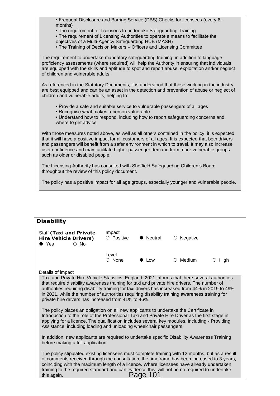• Frequent Disclosure and Barring Service (DBS) Checks for licensees (every 6 months)

• The requirement for licensees to undertake Safeguarding Training

• The requirement of Licensing Authorities to operate a means to facilitate the

objectives of a Multi-Agency Safeguarding HUB (MASH)

• The Training of Decision Makers – Officers and Licensing Committee

The requirement to undertake mandatory safeguarding training, in addition to language proficiency assessments (where required) will help the Authority in ensuring that individuals are equipped with the skills and aptitude to spot and report abuse, exploitation and/or neglect of children and vulnerable adults.

As referenced in the Statutory Documents, it is understood that those working in the industry are best equipped and can be an asset in the detection and prevention of abuse or neglect of children and vulnerable adults, helping to:

- Provide a safe and suitable service to vulnerable passengers of all ages
- Recognise what makes a person vulnerable

• Understand how to respond, including how to report safeguarding concerns and where to get advice

With those measures noted above, as well as all others contained in the policy, it is expected that it will have a positive impact for all customers of all ages. It is expected that both drivers and passengers will benefit from a safer environment in which to travel. It may also increase user confidence and may facilitate higher passenger demand from more vulnerable groups such as older or disabled people.

The Licensing Authority has consulted with Sheffield Safeguarding Children's Board throughout the review of this policy document.

The policy has a positive impact for all age groups, especially younger and vulnerable people.

| <b>Disability</b>                                                                                                                                                                                                                                                                                                                                                                                                                                                                                                                                                                                                                                                                                                                                                                                                                                                                                                                                                                                                                                                                                                                                                                        |                            |         |                   |              |  |  |
|------------------------------------------------------------------------------------------------------------------------------------------------------------------------------------------------------------------------------------------------------------------------------------------------------------------------------------------------------------------------------------------------------------------------------------------------------------------------------------------------------------------------------------------------------------------------------------------------------------------------------------------------------------------------------------------------------------------------------------------------------------------------------------------------------------------------------------------------------------------------------------------------------------------------------------------------------------------------------------------------------------------------------------------------------------------------------------------------------------------------------------------------------------------------------------------|----------------------------|---------|-------------------|--------------|--|--|
| <b>Staff (Taxi and Private</b><br><b>Hire Vehicle Drivers)</b><br>$\circ$ No<br>$\bullet$ Yes                                                                                                                                                                                                                                                                                                                                                                                                                                                                                                                                                                                                                                                                                                                                                                                                                                                                                                                                                                                                                                                                                            | Impact<br>$\circ$ Positive | Neutral | $\circ$ Negative  |              |  |  |
|                                                                                                                                                                                                                                                                                                                                                                                                                                                                                                                                                                                                                                                                                                                                                                                                                                                                                                                                                                                                                                                                                                                                                                                          | Level<br>$\bigcirc$ None   | Low     | $\bigcirc$ Medium | $\circ$ High |  |  |
| Details of impact<br>Taxi and Private Hire Vehicle Statistics, England: 2021 informs that there several authorities<br>that require disability awareness training for taxi and private hire drivers. The number of<br>authorities requiring disability training for taxi drivers has increased from 44% in 2019 to 49%<br>in 2021, while the number of authorities requiring disability training awareness training for<br>private hire drivers has increased from 41% to 46%.<br>The policy places an obligation on all new applicants to undertake the Certificate in<br>Introduction to the role of the Professional Taxi and Private Hire Driver as the first stage in<br>applying for a licence. The qualification includes several key modules, including - Providing<br>Assistance, including loading and unloading wheelchair passengers.<br>In addition, new applicants are required to undertake specific Disability Awareness Training<br>before making a full application.<br>The policy stipulated existing licensees must complete training with 12 months, but as a result<br>of comments received through the consultation, the timeframe has been increased to 3 years, |                            |         |                   |              |  |  |
| training to the required standard and can evidence this, will not be no required to undertake<br>this again.                                                                                                                                                                                                                                                                                                                                                                                                                                                                                                                                                                                                                                                                                                                                                                                                                                                                                                                                                                                                                                                                             |                            | Page    |                   |              |  |  |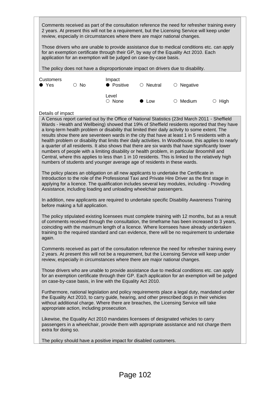Comments received as part of the consultation reference the need for refresher training every 2 years. At present this will not be a requirement, but the Licensing Service will keep under review, especially in circumstances where there are major national changes.

Those drivers who are unable to provide assistance due to medical conditions etc. can apply for an exemption certificate through their GP, by way of the Equality Act 2010. Each application for an exemption will be judged on case-by-case basis.

The policy does not have a disproportionate impact on drivers due to disability.

| Customers<br>$\bullet$ Yes | $\circ$ No | Impact<br>• Positive  | $\circ$ Neutral | $\circ$ Negative |              |
|----------------------------|------------|-----------------------|-----------------|------------------|--------------|
|                            |            | Level<br>$\circ$ None | $\bullet$ Low   | $\circ$ Medium   | $\circ$ High |

#### Details of impact

A Census report carried out by the Office of National Statistics (23rd March 2011 - Sheffield Wards - Health and Wellbeing) showed that 19% of Sheffield residents reported that they have a long-term health problem or disability that limited their daily activity to some extent. The results show there are seventeen wards in the city that have at least 1 in 5 residents with a health problem or disability that limits their daily activities. In Woodhouse, this applies to nearly a quarter of all residents. It also shows that there are six wards that have significantly lower numbers of people with a limiting disability or health problem, in particular Broomhill and Central, where this applies to less than 1 in 10 residents. This is linked to the relatively high numbers of students and younger average age of residents in these wards.

The policy places an obligation on all new applicants to undertake the Certificate in Introduction to the role of the Professional Taxi and Private Hire Driver as the first stage in applying for a licence. The qualification includes several key modules, including - Providing Assistance, including loading and unloading wheelchair passengers.

In addition, new applicants are required to undertake specific Disability Awareness Training before making a full application.

The policy stipulated existing licensees must complete training with 12 months, but as a result of comments received through the consultation, the timeframe has been increased to 3 years, coinciding with the maximum length of a licence. Where licensees have already undertaken training to the required standard and can evidence, there will be no requirement to undertake again.

Comments received as part of the consultation reference the need for refresher training every 2 years. At present this will not be a requirement, but the Licensing Service will keep under review, especially in circumstances where there are major national changes.

Those drivers who are unable to provide assistance due to medical conditions etc. can apply for an exemption certificate through their GP. Each application for an exemption will be judged on case-by-case basis, in line with the Equality Act 2010.

Furthermore, national legislation and policy requirements place a legal duty, mandated under the Equality Act 2010, to carry guide, hearing, and other prescribed dogs in their vehicles without additional charge. Where there are breaches, the Licensing Service will take appropriate action, including prosecution.

Likewise, the Equality Act 2010 mandates licensees of designated vehicles to carry passengers in a wheelchair, provide them with appropriate assistance and not charge them extra for doing so.

The policy should have a positive impact for disabled customers.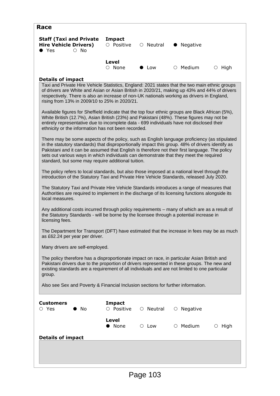| Race                                                                                                                                                                                                                                                                                                                                                                                                                                               |                             |                 |                  |              |
|----------------------------------------------------------------------------------------------------------------------------------------------------------------------------------------------------------------------------------------------------------------------------------------------------------------------------------------------------------------------------------------------------------------------------------------------------|-----------------------------|-----------------|------------------|--------------|
| <b>Staff (Taxi and Private</b><br><b>Hire Vehicle Drivers)</b><br>$\circ$ No<br>$\bullet$ Yes                                                                                                                                                                                                                                                                                                                                                      | <b>Impact</b><br>O Positive | $\circ$ Neutral | Negative         |              |
|                                                                                                                                                                                                                                                                                                                                                                                                                                                    | Level<br>$\circ$ None       | ▶ Low           | $\circ$ Medium   | $\circ$ High |
| <b>Details of impact</b>                                                                                                                                                                                                                                                                                                                                                                                                                           |                             |                 |                  |              |
| Taxi and Private Hire Vehicle Statistics, England: 2021 states that the two main ethnic groups<br>of drivers are White and Asian or Asian British in 2020/21, making up 43% and 44% of drivers<br>respectively. There is also an increase of non-UK nationals working as drivers in England,<br>rising from 13% in 2009/10 to 25% in 2020/21.                                                                                                      |                             |                 |                  |              |
| Available figures for Sheffield indicate that the top four ethnic groups are Black African (5%),<br>White British (12.7%), Asian British (23%) and Pakistani (48%). These figures may not be<br>entirely representative due to incomplete data - 699 individuals have not disclosed their<br>ethnicity or the information has not been recorded.                                                                                                   |                             |                 |                  |              |
| There may be some aspects of the policy, such as English language proficiency (as stipulated<br>in the statutory standards) that disproportionally impact this group. 48% of drivers identify as<br>Pakistani and it can be assumed that English is therefore not their first language. The policy<br>sets out various ways in which individuals can demonstrate that they meet the required<br>standard, but some may require additional tuition. |                             |                 |                  |              |
| The policy refers to local standards, but also those imposed at a national level through the<br>introduction of the Statutory Taxi and Private Hire Vehicle Standards, released July 2020.                                                                                                                                                                                                                                                         |                             |                 |                  |              |
| The Statutory Taxi and Private Hire Vehicle Standards introduces a range of measures that<br>Authorities are required to implement in the discharge of its licensing functions alongside its<br>local measures.                                                                                                                                                                                                                                    |                             |                 |                  |              |
| Any additional costs incurred through policy requirements - many of which are as a result of<br>the Statutory Standards - will be borne by the licensee through a potential increase in<br>licensing fees.                                                                                                                                                                                                                                         |                             |                 |                  |              |
| The Department for Transport (DFT) have estimated that the increase in fees may be as much<br>as £62.24 per year per driver.                                                                                                                                                                                                                                                                                                                       |                             |                 |                  |              |
| Many drivers are self-employed.                                                                                                                                                                                                                                                                                                                                                                                                                    |                             |                 |                  |              |
| The policy therefore has a disproportionate impact on race, in particular Asian British and<br>Pakistani drivers due to the proportion of drivers represented in these groups. The new and<br>existing standards are a requirement of all individuals and are not limited to one particular<br>group.                                                                                                                                              |                             |                 |                  |              |
| Also see Sex and Poverty & Financial Inclusion sections for further information.                                                                                                                                                                                                                                                                                                                                                                   |                             |                 |                  |              |
| <b>Customers</b><br>$\circ$ Yes<br>No.                                                                                                                                                                                                                                                                                                                                                                                                             | <b>Impact</b><br>O Positive | ○ Neutral       | $\circ$ Negative |              |
|                                                                                                                                                                                                                                                                                                                                                                                                                                                    | Level<br>None               | $\circ$ Low     | $\circ$ Medium   | $\circ$ High |
| <b>Details of impact</b>                                                                                                                                                                                                                                                                                                                                                                                                                           |                             |                 |                  |              |
|                                                                                                                                                                                                                                                                                                                                                                                                                                                    |                             |                 |                  |              |
|                                                                                                                                                                                                                                                                                                                                                                                                                                                    |                             |                 |                  |              |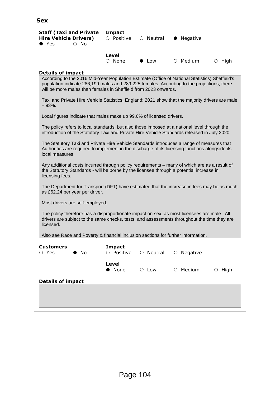| <b>Sex</b>                                                                                                                                                                                                                                                      |                                                                                                                                                                                           |                 |                  |              |  |
|-----------------------------------------------------------------------------------------------------------------------------------------------------------------------------------------------------------------------------------------------------------------|-------------------------------------------------------------------------------------------------------------------------------------------------------------------------------------------|-----------------|------------------|--------------|--|
| <b>Staff (Taxi and Private</b><br><b>Hire Vehicle Drivers)</b><br>$\bullet$ Yes<br>$\circ$ No                                                                                                                                                                   | <b>Impact</b><br>O Positive                                                                                                                                                               | $\circ$ Neutral | Negative         |              |  |
|                                                                                                                                                                                                                                                                 | Level<br>$\circ$ None                                                                                                                                                                     | Low             | $\circ$ Medium   | $\circ$ High |  |
| <b>Details of impact</b>                                                                                                                                                                                                                                        |                                                                                                                                                                                           |                 |                  |              |  |
| According to the 2016 Mid-Year Population Estimate (Office of National Statistics) Sheffield's<br>population indicate 286,199 males and 289,225 females. According to the projections, there<br>will be more males than females in Sheffield from 2023 onwards. |                                                                                                                                                                                           |                 |                  |              |  |
| Taxi and Private Hire Vehicle Statistics, England: 2021 show that the majority drivers are male<br>$-93%$ .                                                                                                                                                     |                                                                                                                                                                                           |                 |                  |              |  |
| Local figures indicate that males make up 99.6% of licensed drivers.                                                                                                                                                                                            |                                                                                                                                                                                           |                 |                  |              |  |
| The policy refers to local standards, but also those imposed at a national level through the<br>introduction of the Statutory Taxi and Private Hire Vehicle Standards released in July 2020.                                                                    |                                                                                                                                                                                           |                 |                  |              |  |
| The Statutory Taxi and Private Hire Vehicle Standards introduces a range of measures that<br>Authorities are required to implement in the discharge of its licensing functions alongside its<br>local measures.                                                 |                                                                                                                                                                                           |                 |                  |              |  |
| Any additional costs incurred through policy requirements - many of which are as a result of<br>the Statutory Standards - will be borne by the licensee through a potential increase in<br>licensing fees.                                                      |                                                                                                                                                                                           |                 |                  |              |  |
| The Department for Transport (DFT) have estimated that the increase in fees may be as much<br>as £62.24 per year per driver.                                                                                                                                    |                                                                                                                                                                                           |                 |                  |              |  |
| Most drivers are self-employed.                                                                                                                                                                                                                                 |                                                                                                                                                                                           |                 |                  |              |  |
| licensed.                                                                                                                                                                                                                                                       | The policy therefore has a disproportionate impact on sex, as most licensees are male. All<br>drivers are subject to the same checks, tests, and assessments throughout the time they are |                 |                  |              |  |
| Also see Race and Poverty & financial inclusion sections for further information.                                                                                                                                                                               |                                                                                                                                                                                           |                 |                  |              |  |
| <b>Customers</b><br>$\circ$ Yes<br>No.                                                                                                                                                                                                                          | <b>Impact</b><br>O Positive                                                                                                                                                               | ○ Neutral       | $\circ$ Negative |              |  |
|                                                                                                                                                                                                                                                                 | Level<br>• None                                                                                                                                                                           | $\circ$ Low     | $\circ$ Medium   | $\circ$ High |  |
| <b>Details of impact</b>                                                                                                                                                                                                                                        |                                                                                                                                                                                           |                 |                  |              |  |
|                                                                                                                                                                                                                                                                 |                                                                                                                                                                                           |                 |                  |              |  |
|                                                                                                                                                                                                                                                                 |                                                                                                                                                                                           |                 |                  |              |  |
|                                                                                                                                                                                                                                                                 |                                                                                                                                                                                           |                 |                  |              |  |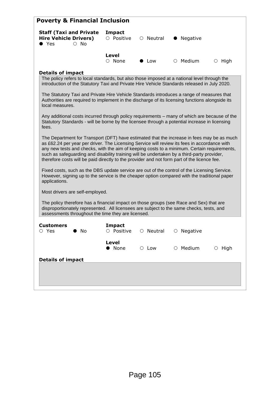| <b>Poverty &amp; Financial Inclusion</b>                                                                                                                                                                                                                                                                                                                                                                                                                                               |                             |                 |                  |              |
|----------------------------------------------------------------------------------------------------------------------------------------------------------------------------------------------------------------------------------------------------------------------------------------------------------------------------------------------------------------------------------------------------------------------------------------------------------------------------------------|-----------------------------|-----------------|------------------|--------------|
| <b>Staff (Taxi and Private</b><br><b>Hire Vehicle Drivers)</b><br>$\bullet$ Yes<br>$\circ$ No                                                                                                                                                                                                                                                                                                                                                                                          | <b>Impact</b><br>O Positive | $\circ$ Neutral | Negative         |              |
|                                                                                                                                                                                                                                                                                                                                                                                                                                                                                        | Level<br>$\circ$ None       | $\bullet$ Low   | $\circ$ Medium   | $\circ$ High |
| <b>Details of impact</b>                                                                                                                                                                                                                                                                                                                                                                                                                                                               |                             |                 |                  |              |
| The policy refers to local standards, but also those imposed at a national level through the<br>introduction of the Statutory Taxi and Private Hire Vehicle Standards released in July 2020.                                                                                                                                                                                                                                                                                           |                             |                 |                  |              |
| The Statutory Taxi and Private Hire Vehicle Standards introduces a range of measures that<br>Authorities are required to implement in the discharge of its licensing functions alongside its<br>local measures.                                                                                                                                                                                                                                                                        |                             |                 |                  |              |
| Any additional costs incurred through policy requirements - many of which are because of the<br>Statutory Standards - will be borne by the licensee through a potential increase in licensing<br>fees.                                                                                                                                                                                                                                                                                 |                             |                 |                  |              |
| The Department for Transport (DFT) have estimated that the increase in fees may be as much<br>as £62.24 per year per driver. The Licensing Service will review its fees in accordance with<br>any new tests and checks, with the aim of keeping costs to a minimum. Certain requirements,<br>such as safeguarding and disability training will be undertaken by a third-party provider,<br>therefore costs will be paid directly to the provider and not form part of the licence fee. |                             |                 |                  |              |
| Fixed costs, such as the DBS update service are out of the control of the Licensing Service.<br>However, signing up to the service is the cheaper option compared with the traditional paper<br>applications.                                                                                                                                                                                                                                                                          |                             |                 |                  |              |
| Most drivers are self-employed.                                                                                                                                                                                                                                                                                                                                                                                                                                                        |                             |                 |                  |              |
| The policy therefore has a financial impact on those groups (see Race and Sex) that are<br>disproportionately represented. All licensees are subject to the same checks, tests, and<br>assessments throughout the time they are licensed.                                                                                                                                                                                                                                              |                             |                 |                  |              |
| Customers<br>$\circ$ Yes<br>$\bullet$ No                                                                                                                                                                                                                                                                                                                                                                                                                                               | <b>Impact</b><br>O Positive | O Neutral       | $\circ$ Negative |              |
|                                                                                                                                                                                                                                                                                                                                                                                                                                                                                        | <b>Level</b><br>• None      | $\circ$ Low     | $\circ$ Medium   | $\circ$ High |
| <b>Details of impact</b>                                                                                                                                                                                                                                                                                                                                                                                                                                                               |                             |                 |                  |              |
|                                                                                                                                                                                                                                                                                                                                                                                                                                                                                        |                             |                 |                  |              |
|                                                                                                                                                                                                                                                                                                                                                                                                                                                                                        |                             |                 |                  |              |
|                                                                                                                                                                                                                                                                                                                                                                                                                                                                                        |                             |                 |                  |              |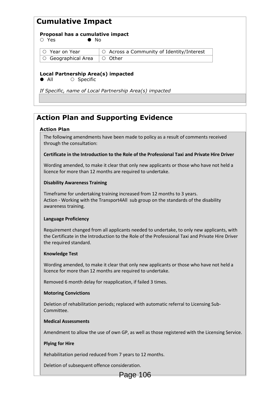## **Cumulative Impact**

| Proposal has a cumulative impact                                                             |                                                    |  |  |  |  |
|----------------------------------------------------------------------------------------------|----------------------------------------------------|--|--|--|--|
| Yes<br>$\bullet$ No                                                                          |                                                    |  |  |  |  |
| $\circ$ Year on Year                                                                         | Across a Community of Identity/Interest<br>$\circ$ |  |  |  |  |
| Geographical Area<br>$\cup$                                                                  | Other<br>$\left( \right)$                          |  |  |  |  |
| Local Partnership Area(s) impacted                                                           |                                                    |  |  |  |  |
| $\bullet$ All<br>$\circ$ Specific<br>If Specific, name of Local Partnership Area(s) impacted |                                                    |  |  |  |  |
|                                                                                              |                                                    |  |  |  |  |

## **Action Plan and Supporting Evidence**

### **Action Plan**

The following amendments have been made to policy as a result of comments received through the consultation:

### **Certificate in the Introduction to the Role of the Professional Taxi and Private Hire Driver**

Wording amended, to make it clear that only new applicants or those who have not held a licence for more than 12 months are required to undertake.

### **Disability Awareness Training**

Timeframe for undertaking training increased from 12 months to 3 years. Action - Working with the Transport4All sub group on the standards of the disability awareness training.

### **Language Proficiency**

Requirement changed from all applicants needed to undertake, to only new applicants, with the Certificate in the Introduction to the Role of the Professional Taxi and Private Hire Driver the required standard.

#### **Knowledge Test**

Wording amended, to make it clear that only new applicants or those who have not held a licence for more than 12 months are required to undertake.

Removed 6 month delay for reapplication, if failed 3 times.

### **Motoring Convictions**

Deletion of rehabilitation periods; replaced with automatic referral to Licensing Sub-Committee.

### **Medical Assessments**

Amendment to allow the use of own GP, as well as those registered with the Licensing Service.

### **Plying for Hire**

Rehabilitation period reduced from 7 years to 12 months.

Deletion of subsequent offence consideration.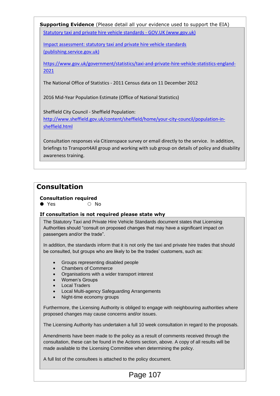**Supporting Evidence** (Please detail all your evidence used to support the EIA) [Statutory taxi and private hire vehicle standards -](https://www.gov.uk/government/publications/statutory-taxi-and-private-hire-vehicle-standards) GOV.UK (www.gov.uk)

[Impact assessment: statutory taxi and private hire vehicle standards](https://assets.publishing.service.gov.uk/government/uploads/system/uploads/attachment_data/file/926130/final-impact-assessment-dft00421-taxi-and-phv-statutory-standards.pdf)  [\(publishing.service.gov.uk\)](https://assets.publishing.service.gov.uk/government/uploads/system/uploads/attachment_data/file/926130/final-impact-assessment-dft00421-taxi-and-phv-statutory-standards.pdf)

[https://www.gov.uk/government/statistics/taxi-and-private-hire-vehicle-statistics-england-](https://www.gov.uk/government/statistics/taxi-and-private-hire-vehicle-statistics-england-2021)[2021](https://www.gov.uk/government/statistics/taxi-and-private-hire-vehicle-statistics-england-2021)

The National Office of Statistics - 2011 Census data on 11 December 2012

2016 Mid-Year Population Estimate (Office of National Statistics)

Sheffield City Council - Sheffield Population: [http://www.sheffield.gov.uk/content/sheffield/home/your-city-council/population-in](http://www.sheffield.gov.uk/content/sheffield/home/your-city-council/population-in-sheffield.html)[sheffield.html](http://www.sheffield.gov.uk/content/sheffield/home/your-city-council/population-in-sheffield.html)

Consultation responses via Citizenspace survey or email directly to the service. In addition, briefings to Transport4All group and working with sub group on details of policy and disability awareness training.

### **Consultation**

### **Consultation required**

 $\bullet$  Yes  $\circ$  No

### **If consultation is not required please state why**

The Statutory Taxi and Private Hire Vehicle Standards document states that Licensing Authorities should "consult on proposed changes that may have a significant impact on passengers and/or the trade".

In addition, the standards inform that it is not only the taxi and private hire trades that should be consulted, but groups who are likely to be the trades' customers, such as:

- Groups representing disabled people
- Chambers of Commerce
- Organisations with a wider transport interest
- Women's Groups
- Local Traders
- Local Multi-agency Safeguarding Arrangements
- Night-time economy groups

Furthermore, the Licensing Authority is obliged to engage with neighbouring authorities where proposed changes may cause concerns and/or issues.

The Licensing Authority has undertaken a full 10 week consultation in regard to the proposals.

Amendments have been made to the policy as a result of comments received through the consultation, these can be found in the Actions section, above. A copy of all results will be made available to the Licensing Committee when determining the policy.

A full list of the consultees is attached to the policy document.